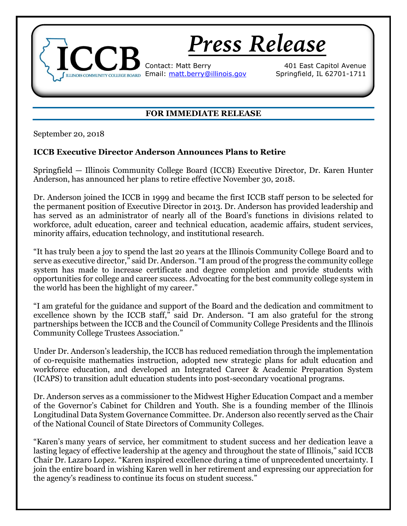

## **FOR IMMEDIATE RELEASE**

September 20, 2018

## **ICCB Executive Director Anderson Announces Plans to Retire**

Springfield — Illinois Community College Board (ICCB) Executive Director, Dr. Karen Hunter Anderson, has announced her plans to retire effective November 30, 2018.

Dr. Anderson joined the ICCB in 1999 and became the first ICCB staff person to be selected for the permanent position of Executive Director in 2013. Dr. Anderson has provided leadership and has served as an administrator of nearly all of the Board's functions in divisions related to workforce, adult education, career and technical education, academic affairs, student services, minority affairs, education technology, and institutional research.

"It has truly been a joy to spend the last 20 years at the Illinois Community College Board and to serve as executive director," said Dr. Anderson. "I am proud of the progress the community college system has made to increase certificate and degree completion and provide students with opportunities for college and career success. Advocating for the best community college system in the world has been the highlight of my career."

"I am grateful for the guidance and support of the Board and the dedication and commitment to excellence shown by the ICCB staff," said Dr. Anderson. "I am also grateful for the strong partnerships between the ICCB and the Council of Community College Presidents and the Illinois Community College Trustees Association."

Under Dr. Anderson's leadership, the ICCB has reduced remediation through the implementation of co-requisite mathematics instruction, adopted new strategic plans for adult education and workforce education, and developed an Integrated Career & Academic Preparation System (ICAPS) to transition adult education students into post-secondary vocational programs.

Dr. Anderson serves as a commissioner to the Midwest Higher Education Compact and a member of the Governor's Cabinet for Children and Youth. She is a founding member of the Illinois Longitudinal Data System Governance Committee. Dr. Anderson also recently served as the Chair of the National Council of State Directors of Community Colleges.

"Karen's many years of service, her commitment to student success and her dedication leave a lasting legacy of effective leadership at the agency and throughout the state of Illinois," said ICCB Chair Dr. Lazaro Lopez. "Karen inspired excellence during a time of unprecedented uncertainty. I join the entire board in wishing Karen well in her retirement and expressing our appreciation for the agency's readiness to continue its focus on student success."